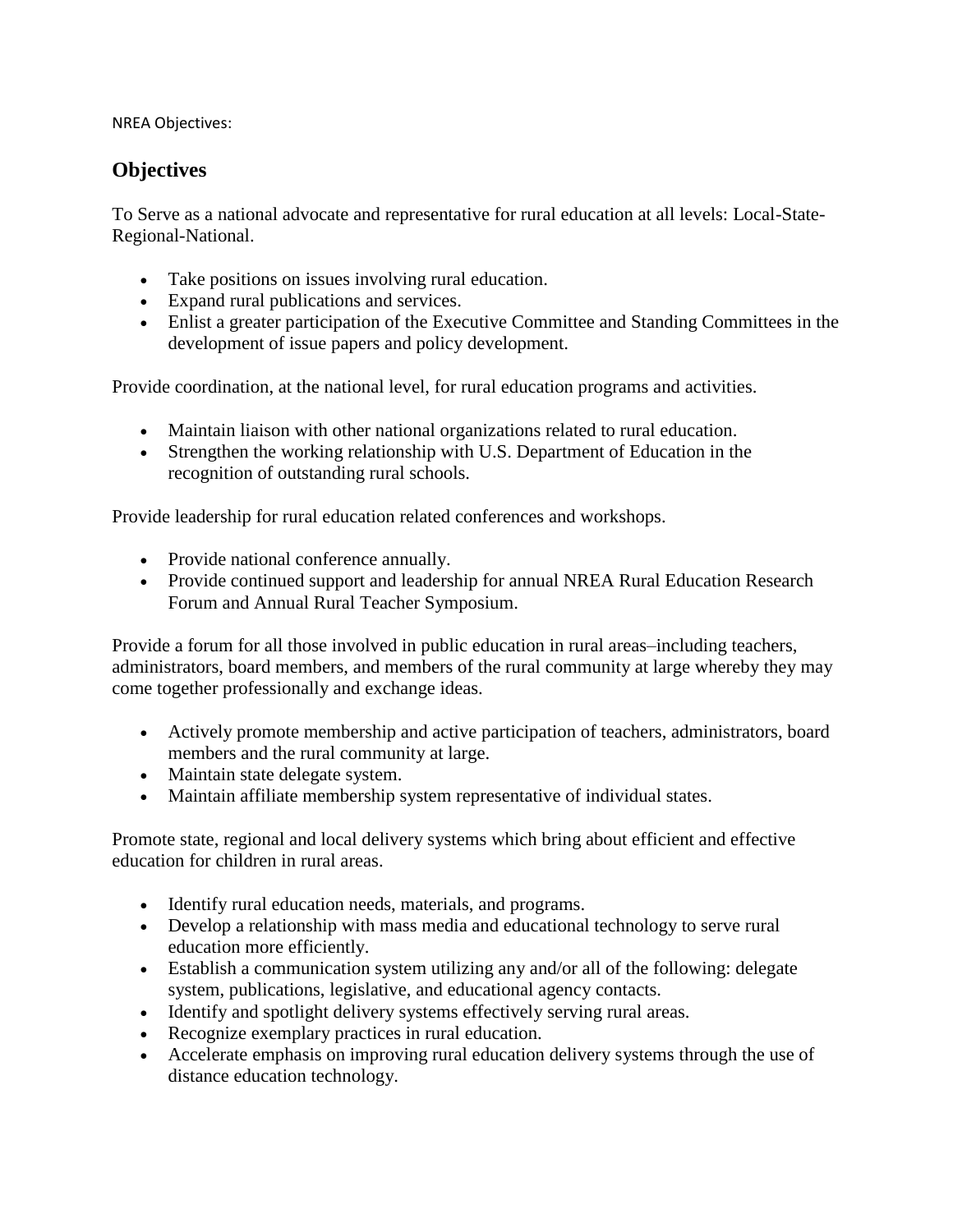NREA Objectives:

## **Objectives**

To Serve as a national advocate and representative for rural education at all levels: Local-State-Regional-National.

- Take positions on issues involving rural education.
- Expand rural publications and services.
- Enlist a greater participation of the Executive Committee and Standing Committees in the development of issue papers and policy development.

Provide coordination, at the national level, for rural education programs and activities.

- Maintain liaison with other national organizations related to rural education.
- Strengthen the working relationship with U.S. Department of Education in the recognition of outstanding rural schools.

Provide leadership for rural education related conferences and workshops.

- Provide national conference annually.
- Provide continued support and leadership for annual NREA Rural Education Research Forum and Annual Rural Teacher Symposium.

Provide a forum for all those involved in public education in rural areas–including teachers, administrators, board members, and members of the rural community at large whereby they may come together professionally and exchange ideas.

- Actively promote membership and active participation of teachers, administrators, board members and the rural community at large.
- Maintain state delegate system.
- Maintain affiliate membership system representative of individual states.

Promote state, regional and local delivery systems which bring about efficient and effective education for children in rural areas.

- Identify rural education needs, materials, and programs.
- Develop a relationship with mass media and educational technology to serve rural education more efficiently.
- Establish a communication system utilizing any and/or all of the following: delegate system, publications, legislative, and educational agency contacts.
- Identify and spotlight delivery systems effectively serving rural areas.
- Recognize exemplary practices in rural education.
- Accelerate emphasis on improving rural education delivery systems through the use of distance education technology.